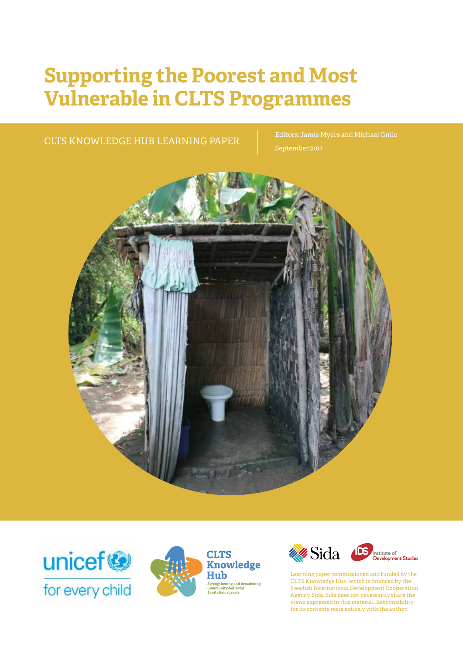# **Supporting the Poorest and Most Vulnerable in CLTS Programmes**

CLTS KNOWLEDGE HUB LEARNING PAPER Editors: Jamie Myers and Michael Gnilo









Learning paper commissioned and funded by the CLTS Knowledge Hub, which is financed by the Swedish International Development Cooperation Agency, Sida. Sida does not necessarily share the views expressed in this material. Responsibility for its contents rests entirely with the author.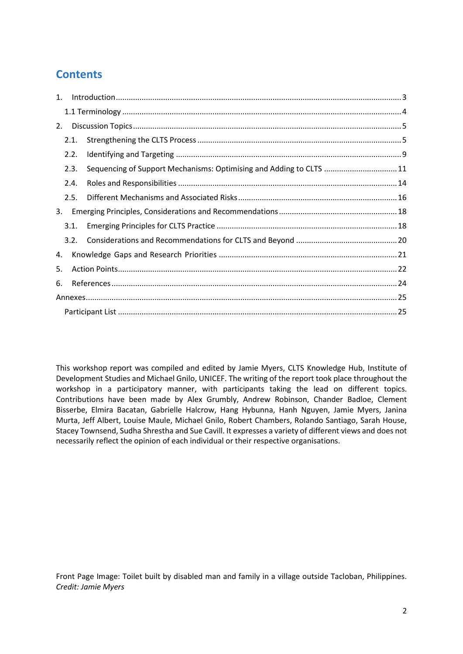# **Contents**

| 1. |      |  |                                                                    |  |  |  |
|----|------|--|--------------------------------------------------------------------|--|--|--|
|    |      |  |                                                                    |  |  |  |
| 2. |      |  |                                                                    |  |  |  |
|    | 2.1. |  |                                                                    |  |  |  |
|    | 2.2. |  |                                                                    |  |  |  |
|    | 2.3. |  | Sequencing of Support Mechanisms: Optimising and Adding to CLTS 11 |  |  |  |
|    | 2.4. |  |                                                                    |  |  |  |
|    | 2.5. |  |                                                                    |  |  |  |
| 3. |      |  |                                                                    |  |  |  |
|    | 3.1. |  |                                                                    |  |  |  |
|    | 3.2. |  |                                                                    |  |  |  |
|    | 4.   |  |                                                                    |  |  |  |
|    | 5.   |  |                                                                    |  |  |  |
| 6. |      |  |                                                                    |  |  |  |
|    |      |  |                                                                    |  |  |  |
|    |      |  |                                                                    |  |  |  |

This workshop report was compiled and edited by Jamie Myers, CLTS Knowledge Hub, Institute of Development Studies and Michael Gnilo, UNICEF. The writing of the report took place throughout the workshop in a participatory manner, with participants taking the lead on different topics. Contributions have been made by Alex Grumbly, Andrew Robinson, Chander Badloe, Clement Bisserbe, Elmira Bacatan, Gabrielle Halcrow, Hang Hybunna, Hanh Nguyen, Jamie Myers, Janina Murta, Jeff Albert, Louise Maule, Michael Gnilo, Robert Chambers, Rolando Santiago, Sarah House, Stacey Townsend, Sudha Shrestha and Sue Cavill. It expresses a variety of different views and does not necessarily reflect the opinion of each individual or their respective organisations.

Front Page Image: Toilet built by disabled man and family in a village outside Tacloban, Philippines. *Credit: Jamie Myers*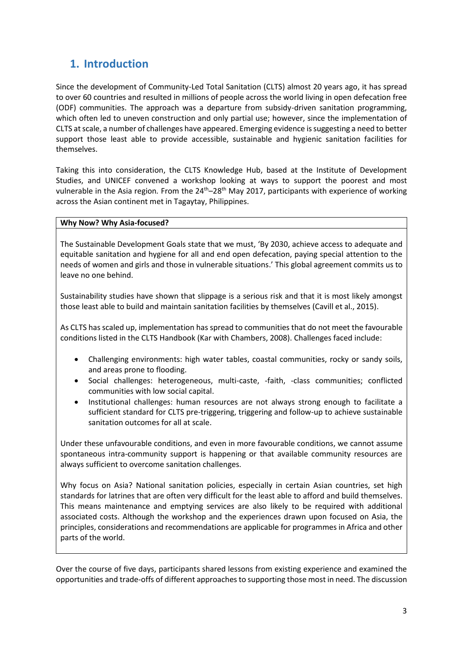# **1. Introduction**

Since the development of Community-Led Total Sanitation (CLTS) almost 20 years ago, it has spread to over 60 countries and resulted in millions of people across the world living in open defecation free (ODF) communities. The approach was a departure from subsidy-driven sanitation programming, which often led to uneven construction and only partial use; however, since the implementation of CLTS at scale, a number of challenges have appeared. Emerging evidence is suggesting a need to better support those least able to provide accessible, sustainable and hygienic sanitation facilities for themselves.

Taking this into consideration, the CLTS Knowledge Hub, based at the Institute of Development Studies, and UNICEF convened a workshop looking at ways to support the poorest and most vulnerable in the Asia region. From the 24<sup>th</sup>–28<sup>th</sup> May 2017, participants with experience of working across the Asian continent met in Tagaytay, Philippines.

#### **Why Now? Why Asia-focused?**

The Sustainable Development Goals state that we must, 'By 2030, achieve access to adequate and equitable sanitation and hygiene for all and end open defecation, paying special attention to the needs of women and girls and those in vulnerable situations.' This global agreement commits us to leave no one behind.

Sustainability studies have shown that slippage is a serious risk and that it is most likely amongst those least able to build and maintain sanitation facilities by themselves (Cavill et al., 2015).

As CLTS has scaled up, implementation has spread to communities that do not meet the favourable conditions listed in the CLTS Handbook (Kar with Chambers, 2008). Challenges faced include:

- Challenging environments: high water tables, coastal communities, rocky or sandy soils, and areas prone to flooding.
- Social challenges: heterogeneous, multi-caste, -faith, -class communities; conflicted communities with low social capital.
- Institutional challenges: human resources are not always strong enough to facilitate a sufficient standard for CLTS pre-triggering, triggering and follow-up to achieve sustainable sanitation outcomes for all at scale.

Under these unfavourable conditions, and even in more favourable conditions, we cannot assume spontaneous intra-community support is happening or that available community resources are always sufficient to overcome sanitation challenges.

Why focus on Asia? National sanitation policies, especially in certain Asian countries, set high standards for latrines that are often very difficult for the least able to afford and build themselves. This means maintenance and emptying services are also likely to be required with additional associated costs. Although the workshop and the experiences drawn upon focused on Asia, the principles, considerations and recommendations are applicable for programmes in Africa and other parts of the world.

Over the course of five days, participants shared lessons from existing experience and examined the opportunities and trade-offs of different approaches to supporting those most in need. The discussion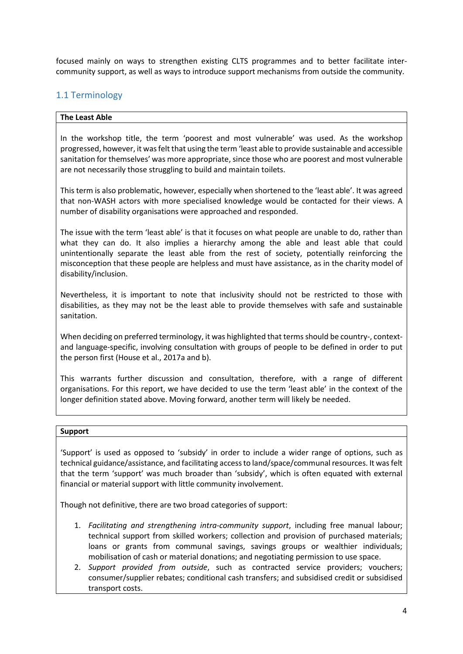focused mainly on ways to strengthen existing CLTS programmes and to better facilitate intercommunity support, as well as ways to introduce support mechanisms from outside the community.

# 1.1 Terminology

#### **The Least Able**

In the workshop title, the term 'poorest and most vulnerable' was used. As the workshop progressed, however, it was felt that using the term 'least able to provide sustainable and accessible sanitation for themselves' was more appropriate, since those who are poorest and most vulnerable are not necessarily those struggling to build and maintain toilets.

This term is also problematic, however, especially when shortened to the 'least able'. It was agreed that non-WASH actors with more specialised knowledge would be contacted for their views. A number of disability organisations were approached and responded.

The issue with the term 'least able' is that it focuses on what people are unable to do, rather than what they can do. It also implies a hierarchy among the able and least able that could unintentionally separate the least able from the rest of society, potentially reinforcing the misconception that these people are helpless and must have assistance, as in the charity model of disability/inclusion.

Nevertheless, it is important to note that inclusivity should not be restricted to those with disabilities, as they may not be the least able to provide themselves with safe and sustainable sanitation.

When deciding on preferred terminology, it was highlighted that terms should be country-, contextand language-specific, involving consultation with groups of people to be defined in order to put the person first (House et al., 2017a and b).

This warrants further discussion and consultation, therefore, with a range of different organisations. For this report, we have decided to use the term 'least able' in the context of the longer definition stated above. Moving forward, another term will likely be needed.

#### **Support**

'Support' is used as opposed to 'subsidy' in order to include a wider range of options, such as technical guidance/assistance, and facilitating access to land/space/communal resources. It was felt that the term 'support' was much broader than 'subsidy', which is often equated with external financial or material support with little community involvement.

Though not definitive, there are two broad categories of support:

- 1. *Facilitating and strengthening intra-community support*, including free manual labour; technical support from skilled workers; collection and provision of purchased materials; loans or grants from communal savings, savings groups or wealthier individuals; mobilisation of cash or material donations; and negotiating permission to use space.
- 2. *Support provided from outside*, such as contracted service providers; vouchers; consumer/supplier rebates; conditional cash transfers; and subsidised credit or subsidised transport costs.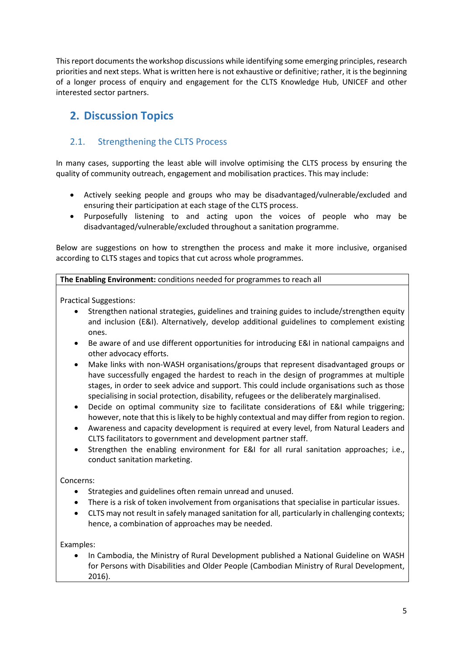This report documents the workshop discussions while identifying some emerging principles, research priorities and next steps. What is written here is not exhaustive or definitive; rather, it is the beginning of a longer process of enquiry and engagement for the CLTS Knowledge Hub, UNICEF and other interested sector partners.

# **2. Discussion Topics**

# 2.1. Strengthening the CLTS Process

In many cases, supporting the least able will involve optimising the CLTS process by ensuring the quality of community outreach, engagement and mobilisation practices. This may include:

- Actively seeking people and groups who may be disadvantaged/vulnerable/excluded and ensuring their participation at each stage of the CLTS process.
- Purposefully listening to and acting upon the voices of people who may be disadvantaged/vulnerable/excluded throughout a sanitation programme.

Below are suggestions on how to strengthen the process and make it more inclusive, organised according to CLTS stages and topics that cut across whole programmes.

**The Enabling Environment:** conditions needed for programmes to reach all

Practical Suggestions:

- Strengthen national strategies, guidelines and training guides to include/strengthen equity and inclusion (E&I). Alternatively, develop additional guidelines to complement existing ones.
- Be aware of and use different opportunities for introducing E&I in national campaigns and other advocacy efforts.
- Make links with non-WASH organisations/groups that represent disadvantaged groups or have successfully engaged the hardest to reach in the design of programmes at multiple stages, in order to seek advice and support. This could include organisations such as those specialising in social protection, disability, refugees or the deliberately marginalised.
- Decide on optimal community size to facilitate considerations of E&I while triggering; however, note that this is likely to be highly contextual and may differ from region to region.
- Awareness and capacity development is required at every level, from Natural Leaders and CLTS facilitators to government and development partner staff.
- Strengthen the enabling environment for E&I for all rural sanitation approaches; i.e., conduct sanitation marketing.

#### Concerns:

- Strategies and guidelines often remain unread and unused.
- There is a risk of token involvement from organisations that specialise in particular issues.
- CLTS may not result in safely managed sanitation for all, particularly in challenging contexts; hence, a combination of approaches may be needed.

Examples:

 In Cambodia, the Ministry of Rural Development published a National Guideline on WASH for Persons with Disabilities and Older People (Cambodian Ministry of Rural Development, 2016).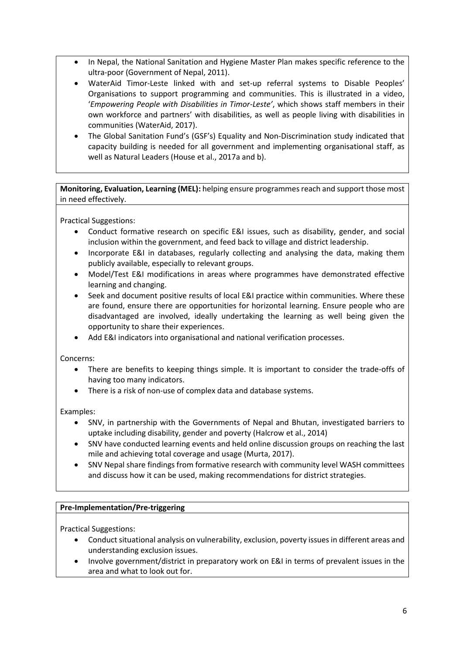- In Nepal, the National Sanitation and Hygiene Master Plan makes specific reference to the ultra-poor (Government of Nepal, 2011).
- WaterAid Timor-Leste linked with and set-up referral systems to Disable Peoples' Organisations to support programming and communities. This is illustrated in a video, '*Empowering People with Disabilities in Timor-Leste'*, which shows staff members in their own workforce and partners' with disabilities, as well as people living with disabilities in communities (WaterAid, 2017).
- The Global Sanitation Fund's (GSF's) Equality and Non-Discrimination study indicated that capacity building is needed for all government and implementing organisational staff, as well as Natural Leaders (House et al., 2017a and b).

**Monitoring, Evaluation, Learning (MEL):** helping ensure programmes reach and support those most in need effectively.

Practical Suggestions:

- Conduct formative research on specific E&I issues, such as disability, gender, and social inclusion within the government, and feed back to village and district leadership.
- Incorporate E&I in databases, regularly collecting and analysing the data, making them publicly available, especially to relevant groups.
- Model/Test E&I modifications in areas where programmes have demonstrated effective learning and changing.
- Seek and document positive results of local E&I practice within communities. Where these are found, ensure there are opportunities for horizontal learning. Ensure people who are disadvantaged are involved, ideally undertaking the learning as well being given the opportunity to share their experiences.
- Add E&I indicators into organisational and national verification processes.

Concerns:

- There are benefits to keeping things simple. It is important to consider the trade-offs of having too many indicators.
- There is a risk of non-use of complex data and database systems.

Examples:

- SNV, in partnership with the Governments of Nepal and Bhutan, investigated barriers to uptake including disability, gender and poverty (Halcrow et al., 2014)
- SNV have conducted learning events and held online discussion groups on reaching the last mile and achieving total coverage and usage (Murta, 2017).
- SNV Nepal share findings from formative research with community level WASH committees and discuss how it can be used, making recommendations for district strategies.

#### **Pre-Implementation/Pre-triggering**

Practical Suggestions:

- Conduct situational analysis on vulnerability, exclusion, poverty issues in different areas and understanding exclusion issues.
- Involve government/district in preparatory work on E&I in terms of prevalent issues in the area and what to look out for.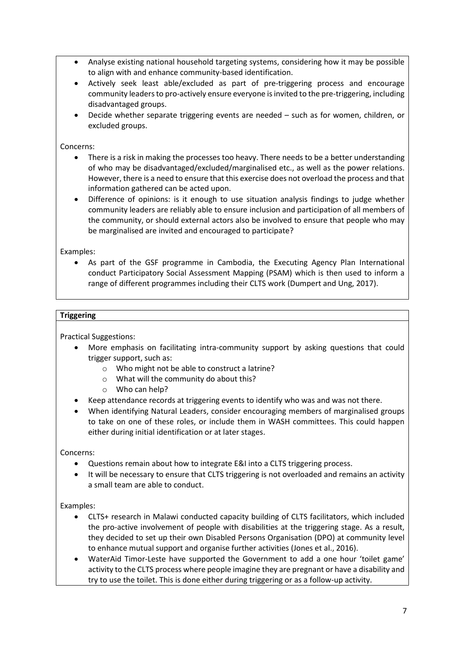- Analyse existing national household targeting systems, considering how it may be possible to align with and enhance community-based identification.
- Actively seek least able/excluded as part of pre-triggering process and encourage community leaders to pro-actively ensure everyone is invited to the pre-triggering, including disadvantaged groups.
- Decide whether separate triggering events are needed such as for women, children, or excluded groups.

Concerns:

- There is a risk in making the processes too heavy. There needs to be a better understanding of who may be disadvantaged/excluded/marginalised etc., as well as the power relations. However, there is a need to ensure that this exercise does not overload the process and that information gathered can be acted upon.
- Difference of opinions: is it enough to use situation analysis findings to judge whether community leaders are reliably able to ensure inclusion and participation of all members of the community, or should external actors also be involved to ensure that people who may be marginalised are invited and encouraged to participate?

Examples:

 As part of the GSF programme in Cambodia, the Executing Agency Plan International conduct Participatory Social Assessment Mapping (PSAM) which is then used to inform a range of different programmes including their CLTS work (Dumpert and Ung, 2017).

#### **Triggering**

Practical Suggestions:

- More emphasis on facilitating intra-community support by asking questions that could trigger support, such as:
	- o Who might not be able to construct a latrine?
	- o What will the community do about this?
	- o Who can help?
- Keep attendance records at triggering events to identify who was and was not there.
- When identifying Natural Leaders, consider encouraging members of marginalised groups to take on one of these roles, or include them in WASH committees. This could happen either during initial identification or at later stages.

Concerns:

- Questions remain about how to integrate E&I into a CLTS triggering process.
- It will be necessary to ensure that CLTS triggering is not overloaded and remains an activity a small team are able to conduct.

Examples:

- CLTS+ research in Malawi conducted capacity building of CLTS facilitators, which included the pro-active involvement of people with disabilities at the triggering stage. As a result, they decided to set up their own Disabled Persons Organisation (DPO) at community level to enhance mutual support and organise further activities (Jones et al., 2016).
- WaterAid Timor-Leste have supported the Government to add a one hour 'toilet game' activity to the CLTS process where people imagine they are pregnant or have a disability and try to use the toilet. This is done either during triggering or as a follow-up activity.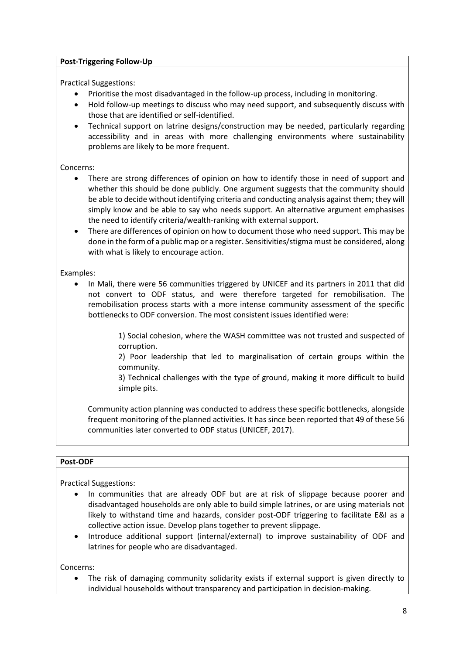#### **Post-Triggering Follow-Up**

Practical Suggestions:

- Prioritise the most disadvantaged in the follow-up process, including in monitoring.
- Hold follow-up meetings to discuss who may need support, and subsequently discuss with those that are identified or self-identified.
- Technical support on latrine designs/construction may be needed, particularly regarding accessibility and in areas with more challenging environments where sustainability problems are likely to be more frequent.

Concerns:

- There are strong differences of opinion on how to identify those in need of support and whether this should be done publicly. One argument suggests that the community should be able to decide without identifying criteria and conducting analysis against them; they will simply know and be able to say who needs support. An alternative argument emphasises the need to identify criteria/wealth-ranking with external support.
- There are differences of opinion on how to document those who need support. This may be done in the form of a public map or a register. Sensitivities/stigma must be considered, along with what is likely to encourage action.

Examples:

• In Mali, there were 56 communities triggered by UNICEF and its partners in 2011 that did not convert to ODF status, and were therefore targeted for remobilisation. The remobilisation process starts with a more intense community assessment of the specific bottlenecks to ODF conversion. The most consistent issues identified were:

> 1) Social cohesion, where the WASH committee was not trusted and suspected of corruption.

> 2) Poor leadership that led to marginalisation of certain groups within the community.

> 3) Technical challenges with the type of ground, making it more difficult to build simple pits.

Community action planning was conducted to address these specific bottlenecks, alongside frequent monitoring of the planned activities. It has since been reported that 49 of these 56 communities later converted to ODF status (UNICEF, 2017).

#### **Post-ODF**

Practical Suggestions:

- In communities that are already ODF but are at risk of slippage because poorer and disadvantaged households are only able to build simple latrines, or are using materials not likely to withstand time and hazards, consider post-ODF triggering to facilitate E&I as a collective action issue. Develop plans together to prevent slippage.
- Introduce additional support (internal/external) to improve sustainability of ODF and latrines for people who are disadvantaged.

Concerns:

 The risk of damaging community solidarity exists if external support is given directly to individual households without transparency and participation in decision-making.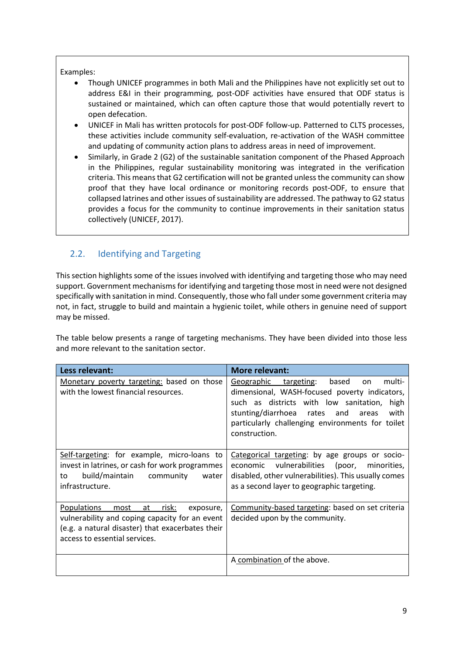#### Examples:

- Though UNICEF programmes in both Mali and the Philippines have not explicitly set out to address E&I in their programming, post-ODF activities have ensured that ODF status is sustained or maintained, which can often capture those that would potentially revert to open defecation.
- UNICEF in Mali has written protocols for post-ODF follow-up. Patterned to CLTS processes, these activities include community self-evaluation, re-activation of the WASH committee and updating of community action plans to address areas in need of improvement.
- Similarly, in Grade 2 (G2) of the sustainable sanitation component of the Phased Approach in the Philippines, regular sustainability monitoring was integrated in the verification criteria. This means that G2 certification will not be granted unless the community can show proof that they have local ordinance or monitoring records post-ODF, to ensure that collapsed latrines and other issues of sustainability are addressed. The pathway to G2 status provides a focus for the community to continue improvements in their sanitation status collectively (UNICEF, 2017).

# 2.2. Identifying and Targeting

This section highlights some of the issues involved with identifying and targeting those who may need support. Government mechanisms for identifying and targeting those most in need were not designed specifically with sanitation in mind. Consequently, those who fall under some government criteria may not, in fact, struggle to build and maintain a hygienic toilet, while others in genuine need of support may be missed.

The table below presents a range of targeting mechanisms. They have been divided into those less and more relevant to the sanitation sector.

| Less relevant:                                                                                                                                                                                | More relevant:                                                                                                                                                                                                                                                          |
|-----------------------------------------------------------------------------------------------------------------------------------------------------------------------------------------------|-------------------------------------------------------------------------------------------------------------------------------------------------------------------------------------------------------------------------------------------------------------------------|
| Monetary poverty targeting: based on those<br>with the lowest financial resources.                                                                                                            | Geographic<br>targeting:<br>based<br>multi-<br>on<br>dimensional, WASH-focused poverty indicators,<br>such as districts with low sanitation,<br>high<br>stunting/diarrhoea rates and areas<br>with<br>particularly challenging environments for toilet<br>construction. |
| Self-targeting: for example, micro-loans to<br>invest in latrines, or cash for work programmes<br>build/maintain community<br>to<br>water<br>infrastructure.                                  | Categorical targeting: by age groups or socio-<br>vulnerabilities (poor, minorities,<br>economic<br>disabled, other vulnerabilities). This usually comes<br>as a second layer to geographic targeting.                                                                  |
| <b>Populations</b><br>risk:<br>most<br>at<br>exposure,<br>vulnerability and coping capacity for an event<br>(e.g. a natural disaster) that exacerbates their<br>access to essential services. | Community-based targeting: based on set criteria<br>decided upon by the community.                                                                                                                                                                                      |
|                                                                                                                                                                                               | A combination of the above.                                                                                                                                                                                                                                             |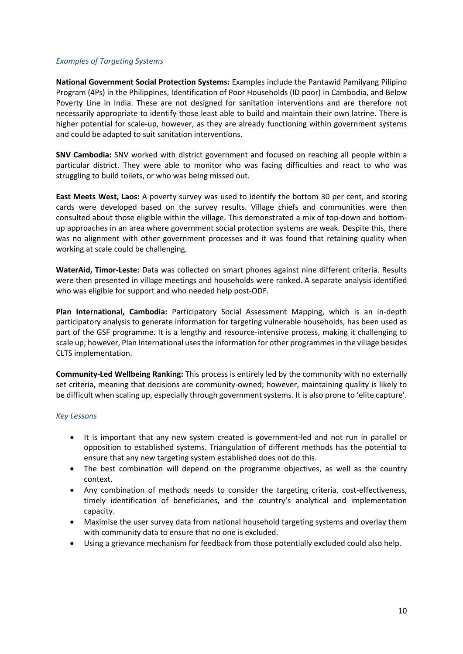#### *Examples of Targeting Systems*

**National Government Social Protection Systems:** Examples include the Pantawid Pamilyang Pilipino Program (4Ps) in the Philippines, Identification of Poor Households (ID poor) in Cambodia, and Below Poverty Line in India. These are not designed for sanitation interventions and are therefore not necessarily appropriate to identify those least able to build and maintain their own latrine. There is higher potential for scale-up, however, as they are already functioning within government systems and could be adapted to suit sanitation interventions.

**SNV Cambodia:** SNV worked with district government and focused on reaching all people within a particular district. They were able to monitor who was facing difficulties and react to who was struggling to build toilets, or who was being missed out.

**East Meets West, Laos:** A poverty survey was used to identify the bottom 30 per cent, and scoring cards were developed based on the survey results. Village chiefs and communities were then consulted about those eligible within the village. This demonstrated a mix of top-down and bottomup approaches in an area where government social protection systems are weak. Despite this, there was no alignment with other government processes and it was found that retaining quality when working at scale could be challenging.

**WaterAid, Timor-Leste:** Data was collected on smart phones against nine different criteria. Results were then presented in village meetings and households were ranked. A separate analysis identified who was eligible for support and who needed help post-ODF.

**Plan International, Cambodia:** Participatory Social Assessment Mapping, which is an in-depth participatory analysis to generate information for targeting vulnerable households, has been used as part of the GSF programme. It is a lengthy and resource-intensive process, making it challenging to scale up; however, Plan International uses the information for other programmesin the village besides CLTS implementation.

**Community-Led Wellbeing Ranking:** This process is entirely led by the community with no externally set criteria, meaning that decisions are community-owned; however, maintaining quality is likely to be difficult when scaling up, especially through government systems. It is also prone to 'elite capture'.

#### *Key Lessons*

- It is important that any new system created is government-led and not run in parallel or opposition to established systems. Triangulation of different methods has the potential to ensure that any new targeting system established does not do this.
- The best combination will depend on the programme objectives, as well as the country context.
- Any combination of methods needs to consider the targeting criteria, cost-effectiveness, timely identification of beneficiaries, and the country's analytical and implementation capacity.
- Maximise the user survey data from national household targeting systems and overlay them with community data to ensure that no one is excluded.
- Using a grievance mechanism for feedback from those potentially excluded could also help.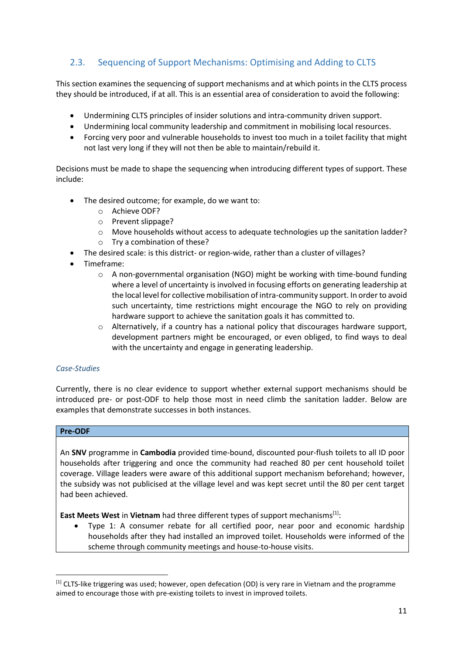# 2.3. Sequencing of Support Mechanisms: Optimising and Adding to CLTS

This section examines the sequencing of support mechanisms and at which points in the CLTS process they should be introduced, if at all. This is an essential area of consideration to avoid the following:

- Undermining CLTS principles of insider solutions and intra-community driven support.
- Undermining local community leadership and commitment in mobilising local resources.
- Forcing very poor and vulnerable households to invest too much in a toilet facility that might not last very long if they will not then be able to maintain/rebuild it.

Decisions must be made to shape the sequencing when introducing different types of support. These include:

- The desired outcome; for example, do we want to:
	- o Achieve ODF?
	- o Prevent slippage?
	- o Move households without access to adequate technologies up the sanitation ladder?
	- o Try a combination of these?
- The desired scale: is this district- or region-wide, rather than a cluster of villages?
- Timeframe:
	- $\circ$  A non-governmental organisation (NGO) might be working with time-bound funding where a level of uncertainty is involved in focusing efforts on generating leadership at the local level for collective mobilisation of intra-community support. In order to avoid such uncertainty, time restrictions might encourage the NGO to rely on providing hardware support to achieve the sanitation goals it has committed to.
	- $\circ$  Alternatively, if a country has a national policy that discourages hardware support, development partners might be encouraged, or even obliged, to find ways to deal with the uncertainty and engage in generating leadership.

#### *Case-Studies*

Currently, there is no clear evidence to support whether external support mechanisms should be introduced pre- or post-ODF to help those most in need climb the sanitation ladder. Below are examples that demonstrate successes in both instances.

#### **Pre-ODF**

**.** 

An **SNV** programme in **Cambodia** provided time-bound, discounted pour-flush toilets to all ID poor households after triggering and once the community had reached 80 per cent household toilet coverage. Village leaders were aware of this additional support mechanism beforehand; however, the subsidy was not publicised at the village level and was kept secret until the 80 per cent target had been achieved.

**East Meets West** in **Vietnam** had three different types of support mechanisms<sup>[1]</sup>:

 Type 1: A consumer rebate for all certified poor, near poor and economic hardship households after they had installed an improved toilet. Households were informed of the scheme through community meetings and house-to-house visits.

<sup>[1]</sup> CLTS-like triggering was used; however, open defecation (OD) is very rare in Vietnam and the programme aimed to encourage those with pre-existing toilets to invest in improved toilets.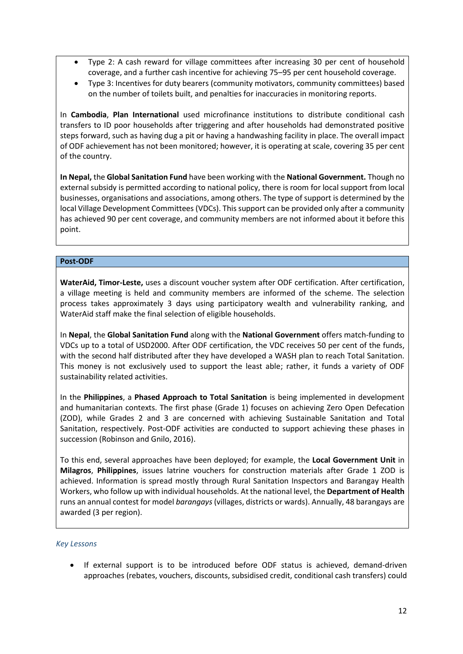- Type 2: A cash reward for village committees after increasing 30 per cent of household coverage, and a further cash incentive for achieving 75–95 per cent household coverage.
- Type 3: Incentives for duty bearers (community motivators, community committees) based on the number of toilets built, and penalties for inaccuracies in monitoring reports.

In **Cambodia**, **Plan International** used microfinance institutions to distribute conditional cash transfers to ID poor households after triggering and after households had demonstrated positive steps forward, such as having dug a pit or having a handwashing facility in place. The overall impact of ODF achievement has not been monitored; however, it is operating at scale, covering 35 per cent of the country.

**In Nepal,** the **Global Sanitation Fund** have been working with the **National Government.** Though no external subsidy is permitted according to national policy, there is room for local support from local businesses, organisations and associations, among others. The type of support is determined by the local Village Development Committees (VDCs). This support can be provided only after a community has achieved 90 per cent coverage, and community members are not informed about it before this point.

#### **Post-ODF**

**WaterAid, Timor-Leste,** uses a discount voucher system after ODF certification. After certification, a village meeting is held and community members are informed of the scheme. The selection process takes approximately 3 days using participatory wealth and vulnerability ranking, and WaterAid staff make the final selection of eligible households.

In **Nepal**, the **Global Sanitation Fund** along with the **National Government** offers match-funding to VDCs up to a total of USD2000. After ODF certification, the VDC receives 50 per cent of the funds, with the second half distributed after they have developed a WASH plan to reach Total Sanitation. This money is not exclusively used to support the least able; rather, it funds a variety of ODF sustainability related activities.

In the **Philippines**, a **Phased Approach to Total Sanitation** is being implemented in development and humanitarian contexts. The first phase (Grade 1) focuses on achieving Zero Open Defecation (ZOD), while Grades 2 and 3 are concerned with achieving Sustainable Sanitation and Total Sanitation, respectively. Post-ODF activities are conducted to support achieving these phases in succession (Robinson and Gnilo, 2016).

To this end, several approaches have been deployed; for example, the **Local Government Unit** in **Milagros**, **Philippines**, issues latrine vouchers for construction materials after Grade 1 ZOD is achieved. Information is spread mostly through Rural Sanitation Inspectors and Barangay Health Workers, who follow up with individual households. At the national level, the **Department of Health** runs an annual contest for model *barangays* (villages, districts or wards). Annually, 48 barangays are awarded (3 per region).

#### *Key Lessons*

 If external support is to be introduced before ODF status is achieved, demand-driven approaches (rebates, vouchers, discounts, subsidised credit, conditional cash transfers) could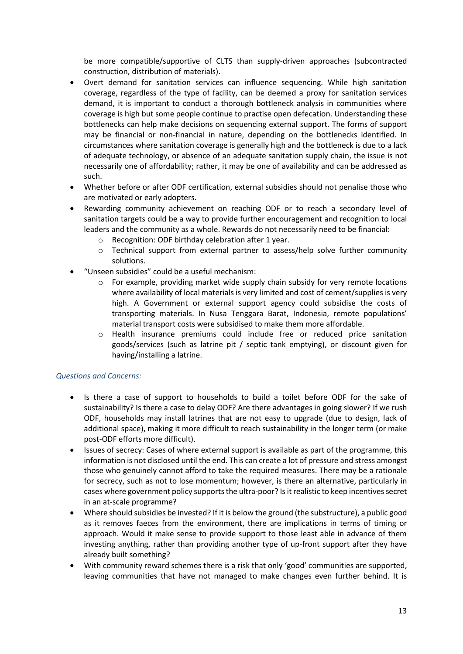be more compatible/supportive of CLTS than supply-driven approaches (subcontracted construction, distribution of materials).

- Overt demand for sanitation services can influence sequencing. While high sanitation coverage, regardless of the type of facility, can be deemed a proxy for sanitation services demand, it is important to conduct a thorough bottleneck analysis in communities where coverage is high but some people continue to practise open defecation. Understanding these bottlenecks can help make decisions on sequencing external support. The forms of support may be financial or non-financial in nature, depending on the bottlenecks identified. In circumstances where sanitation coverage is generally high and the bottleneck is due to a lack of adequate technology, or absence of an adequate sanitation supply chain, the issue is not necessarily one of affordability; rather, it may be one of availability and can be addressed as such.
- Whether before or after ODF certification, external subsidies should not penalise those who are motivated or early adopters.
- Rewarding community achievement on reaching ODF or to reach a secondary level of sanitation targets could be a way to provide further encouragement and recognition to local leaders and the community as a whole. Rewards do not necessarily need to be financial:
	- o Recognition: ODF birthday celebration after 1 year.
	- o Technical support from external partner to assess/help solve further community solutions.
- "Unseen subsidies" could be a useful mechanism:
	- $\circ$  For example, providing market wide supply chain subsidy for very remote locations where availability of local materials is very limited and cost of cement/supplies is very high. A Government or external support agency could subsidise the costs of transporting materials. In Nusa Tenggara Barat, Indonesia, remote populations' material transport costs were subsidised to make them more affordable.
	- o Health insurance premiums could include free or reduced price sanitation goods/services (such as latrine pit / septic tank emptying), or discount given for having/installing a latrine.

#### *Questions and Concerns:*

- Is there a case of support to households to build a toilet before ODF for the sake of sustainability? Is there a case to delay ODF? Are there advantages in going slower? If we rush ODF, households may install latrines that are not easy to upgrade (due to design, lack of additional space), making it more difficult to reach sustainability in the longer term (or make post-ODF efforts more difficult).
- Issues of secrecy: Cases of where external support is available as part of the programme, this information is not disclosed until the end. This can create a lot of pressure and stress amongst those who genuinely cannot afford to take the required measures. There may be a rationale for secrecy, such as not to lose momentum; however, is there an alternative, particularly in cases where government policy supports the ultra-poor? Is it realistic to keep incentives secret in an at-scale programme?
- Where should subsidies be invested? If it is below the ground (the substructure), a public good as it removes faeces from the environment, there are implications in terms of timing or approach. Would it make sense to provide support to those least able in advance of them investing anything, rather than providing another type of up-front support after they have already built something?
- With community reward schemes there is a risk that only 'good' communities are supported, leaving communities that have not managed to make changes even further behind. It is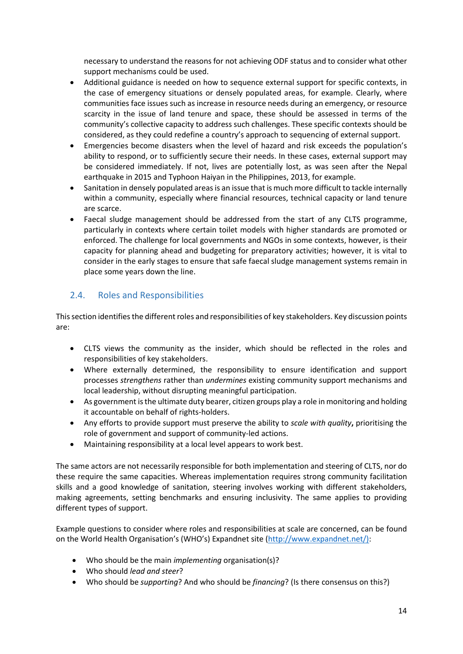necessary to understand the reasons for not achieving ODF status and to consider what other support mechanisms could be used.

- Additional guidance is needed on how to sequence external support for specific contexts, in the case of emergency situations or densely populated areas, for example. Clearly, where communities face issues such as increase in resource needs during an emergency, or resource scarcity in the issue of land tenure and space, these should be assessed in terms of the community's collective capacity to address such challenges. These specific contexts should be considered, as they could redefine a country's approach to sequencing of external support.
- Emergencies become disasters when the level of hazard and risk exceeds the population's ability to respond, or to sufficiently secure their needs. In these cases, external support may be considered immediately. If not, lives are potentially lost, as was seen after the Nepal earthquake in 2015 and Typhoon Haiyan in the Philippines, 2013, for example.
- Sanitation in densely populated areas is an issue that is much more difficult to tackle internally within a community, especially where financial resources, technical capacity or land tenure are scarce.
- Faecal sludge management should be addressed from the start of any CLTS programme, particularly in contexts where certain toilet models with higher standards are promoted or enforced. The challenge for local governments and NGOs in some contexts, however, is their capacity for planning ahead and budgeting for preparatory activities; however, it is vital to consider in the early stages to ensure that safe faecal sludge management systems remain in place some years down the line.

### 2.4. Roles and Responsibilities

This section identifies the different roles and responsibilities of key stakeholders. Key discussion points are:

- CLTS views the community as the insider, which should be reflected in the roles and responsibilities of key stakeholders.
- Where externally determined, the responsibility to ensure identification and support processes *strengthens* rather than *undermines* existing community support mechanisms and local leadership, without disrupting meaningful participation.
- As government is the ultimate duty bearer, citizen groups play a role inmonitoring and holding it accountable on behalf of rights-holders.
- Any efforts to provide support must preserve the ability to *scale with quality***,** prioritising the role of government and support of community-led actions.
- Maintaining responsibility at a local level appears to work best.

The same actors are not necessarily responsible for both implementation and steering of CLTS, nor do these require the same capacities. Whereas implementation requires strong community facilitation skills and a good knowledge of sanitation, steering involves working with different stakeholders, making agreements, setting benchmarks and ensuring inclusivity. The same applies to providing different types of support.

Example questions to consider where roles and responsibilities at scale are concerned, can be found on the World Health Organisation's (WHO's) Expandnet site [\(http://www.expandnet.net/\):](http://www.expandnet.net/))

- Who should be the main *implementing* organisation(s)?
- Who should *lead and steer*?
- Who should be *supporting*? And who should be *financing*? (Is there consensus on this?)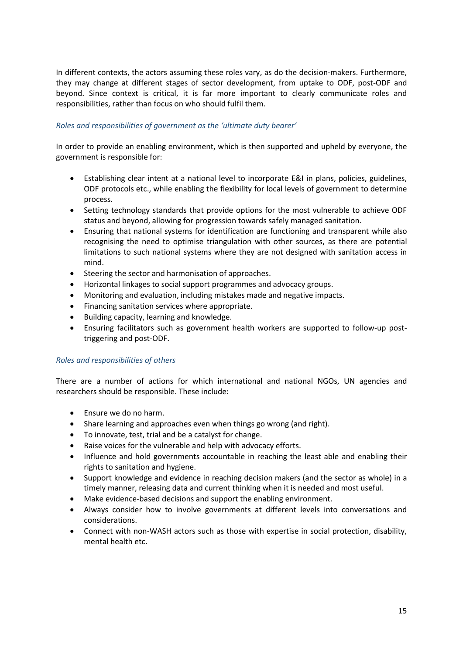In different contexts, the actors assuming these roles vary, as do the decision-makers. Furthermore, they may change at different stages of sector development, from uptake to ODF, post-ODF and beyond. Since context is critical, it is far more important to clearly communicate roles and responsibilities, rather than focus on who should fulfil them.

#### *Roles and responsibilities of government as the 'ultimate duty bearer'*

In order to provide an enabling environment, which is then supported and upheld by everyone, the government is responsible for:

- Establishing clear intent at a national level to incorporate E&I in plans, policies, guidelines, ODF protocols etc., while enabling the flexibility for local levels of government to determine process.
- Setting technology standards that provide options for the most vulnerable to achieve ODF status and beyond, allowing for progression towards safely managed sanitation.
- Ensuring that national systems for identification are functioning and transparent while also recognising the need to optimise triangulation with other sources, as there are potential limitations to such national systems where they are not designed with sanitation access in mind.
- Steering the sector and harmonisation of approaches.
- Horizontal linkages to social support programmes and advocacy groups.
- Monitoring and evaluation, including mistakes made and negative impacts.
- Financing sanitation services where appropriate.
- Building capacity, learning and knowledge.
- Ensuring facilitators such as government health workers are supported to follow-up posttriggering and post-ODF.

#### *Roles and responsibilities of others*

There are a number of actions for which international and national NGOs, UN agencies and researchers should be responsible. These include:

- Ensure we do no harm.
- Share learning and approaches even when things go wrong (and right).
- To innovate, test, trial and be a catalyst for change.
- Raise voices for the vulnerable and help with advocacy efforts.
- Influence and hold governments accountable in reaching the least able and enabling their rights to sanitation and hygiene.
- Support knowledge and evidence in reaching decision makers (and the sector as whole) in a timely manner, releasing data and current thinking when it is needed and most useful.
- Make evidence-based decisions and support the enabling environment.
- Always consider how to involve governments at different levels into conversations and considerations.
- Connect with non-WASH actors such as those with expertise in social protection, disability, mental health etc.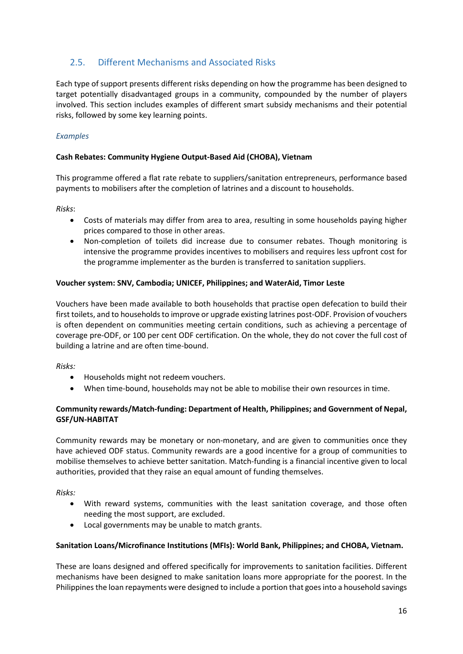# 2.5. Different Mechanisms and Associated Risks

Each type of support presents different risks depending on how the programme has been designed to target potentially disadvantaged groups in a community, compounded by the number of players involved. This section includes examples of different smart subsidy mechanisms and their potential risks, followed by some key learning points.

#### *Examples*

#### **Cash Rebates: Community Hygiene Output-Based Aid (CHOBA), Vietnam**

This programme offered a flat rate rebate to suppliers/sanitation entrepreneurs, performance based payments to mobilisers after the completion of latrines and a discount to households.

*Risks*:

- Costs of materials may differ from area to area, resulting in some households paying higher prices compared to those in other areas.
- Non-completion of toilets did increase due to consumer rebates. Though monitoring is intensive the programme provides incentives to mobilisers and requires less upfront cost for the programme implementer as the burden is transferred to sanitation suppliers.

#### **Voucher system: SNV, Cambodia; UNICEF, Philippines; and WaterAid, Timor Leste**

Vouchers have been made available to both households that practise open defecation to build their first toilets, and to households to improve or upgrade existing latrines post-ODF. Provision of vouchers is often dependent on communities meeting certain conditions, such as achieving a percentage of coverage pre-ODF, or 100 per cent ODF certification. On the whole, they do not cover the full cost of building a latrine and are often time-bound.

*Risks:* 

- Households might not redeem vouchers.
- When time-bound, households may not be able to mobilise their own resources in time.

#### **Community rewards/Match-funding: Department of Health, Philippines; and Government of Nepal, GSF/UN-HABITAT**

Community rewards may be monetary or non-monetary, and are given to communities once they have achieved ODF status. Community rewards are a good incentive for a group of communities to mobilise themselves to achieve better sanitation. Match-funding is a financial incentive given to local authorities, provided that they raise an equal amount of funding themselves.

*Risks:*

- With reward systems, communities with the least sanitation coverage, and those often needing the most support, are excluded.
- Local governments may be unable to match grants.

#### **Sanitation Loans/Microfinance Institutions (MFIs): World Bank, Philippines; and CHOBA, Vietnam.**

These are loans designed and offered specifically for improvements to sanitation facilities. Different mechanisms have been designed to make sanitation loans more appropriate for the poorest. In the Philippines the loan repayments were designed to include a portion that goes into a household savings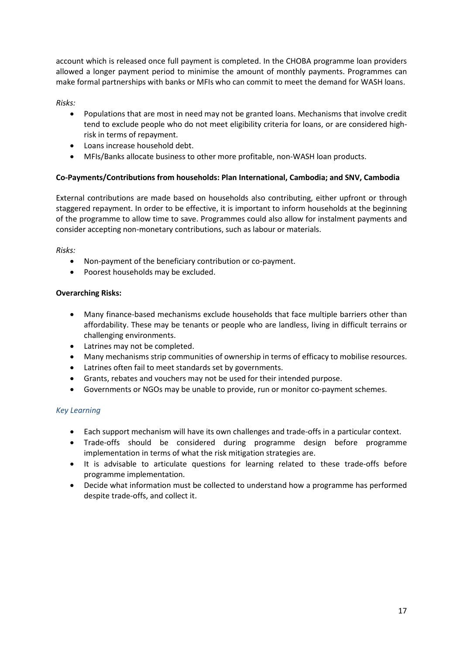account which is released once full payment is completed. In the CHOBA programme loan providers allowed a longer payment period to minimise the amount of monthly payments. Programmes can make formal partnerships with banks or MFIs who can commit to meet the demand for WASH loans.

*Risks:*

- Populations that are most in need may not be granted loans. Mechanisms that involve credit tend to exclude people who do not meet eligibility criteria for loans, or are considered highrisk in terms of repayment.
- Loans increase household debt.
- MFIs/Banks allocate business to other more profitable, non-WASH loan products.

#### **Co-Payments/Contributions from households: Plan International, Cambodia; and SNV, Cambodia**

External contributions are made based on households also contributing, either upfront or through staggered repayment. In order to be effective, it is important to inform households at the beginning of the programme to allow time to save. Programmes could also allow for instalment payments and consider accepting non-monetary contributions, such as labour or materials.

*Risks:*

- Non-payment of the beneficiary contribution or co-payment.
- Poorest households may be excluded.

#### **Overarching Risks:**

- Many finance-based mechanisms exclude households that face multiple barriers other than affordability. These may be tenants or people who are landless, living in difficult terrains or challenging environments.
- Latrines may not be completed.
- Many mechanisms strip communities of ownership in terms of efficacy to mobilise resources.
- Latrines often fail to meet standards set by governments.
- Grants, rebates and vouchers may not be used for their intended purpose.
- Governments or NGOs may be unable to provide, run or monitor co-payment schemes.

#### *Key Learning*

- Each support mechanism will have its own challenges and trade-offs in a particular context.
- Trade-offs should be considered during programme design before programme implementation in terms of what the risk mitigation strategies are.
- It is advisable to articulate questions for learning related to these trade-offs before programme implementation.
- Decide what information must be collected to understand how a programme has performed despite trade-offs, and collect it.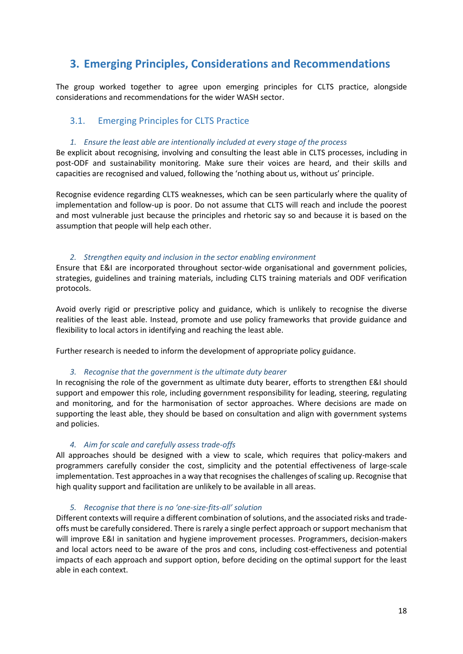# **3. Emerging Principles, Considerations and Recommendations**

The group worked together to agree upon emerging principles for CLTS practice, alongside considerations and recommendations for the wider WASH sector.

### 3.1. Emerging Principles for CLTS Practice

#### *1. Ensure the least able are intentionally included at every stage of the process*

Be explicit about recognising, involving and consulting the least able in CLTS processes, including in post-ODF and sustainability monitoring. Make sure their voices are heard, and their skills and capacities are recognised and valued, following the 'nothing about us, without us' principle.

Recognise evidence regarding CLTS weaknesses, which can be seen particularly where the quality of implementation and follow-up is poor. Do not assume that CLTS will reach and include the poorest and most vulnerable just because the principles and rhetoric say so and because it is based on the assumption that people will help each other.

#### *2. Strengthen equity and inclusion in the sector enabling environment*

Ensure that E&I are incorporated throughout sector-wide organisational and government policies, strategies, guidelines and training materials, including CLTS training materials and ODF verification protocols.

Avoid overly rigid or prescriptive policy and guidance, which is unlikely to recognise the diverse realities of the least able. Instead, promote and use policy frameworks that provide guidance and flexibility to local actors in identifying and reaching the least able.

Further research is needed to inform the development of appropriate policy guidance.

#### *3. Recognise that the government is the ultimate duty bearer*

In recognising the role of the government as ultimate duty bearer, efforts to strengthen E&I should support and empower this role, including government responsibility for leading, steering, regulating and monitoring, and for the harmonisation of sector approaches. Where decisions are made on supporting the least able, they should be based on consultation and align with government systems and policies.

#### *4. Aim for scale and carefully assess trade-offs*

All approaches should be designed with a view to scale, which requires that policy-makers and programmers carefully consider the cost, simplicity and the potential effectiveness of large-scale implementation. Test approaches in a way that recognises the challenges of scaling up. Recognise that high quality support and facilitation are unlikely to be available in all areas.

#### *5. Recognise that there is no 'one-size-fits-all' solution*

Different contexts will require a different combination of solutions, and the associated risks and tradeoffs must be carefully considered. There is rarely a single perfect approach or support mechanism that will improve E&I in sanitation and hygiene improvement processes. Programmers, decision-makers and local actors need to be aware of the pros and cons, including cost-effectiveness and potential impacts of each approach and support option, before deciding on the optimal support for the least able in each context.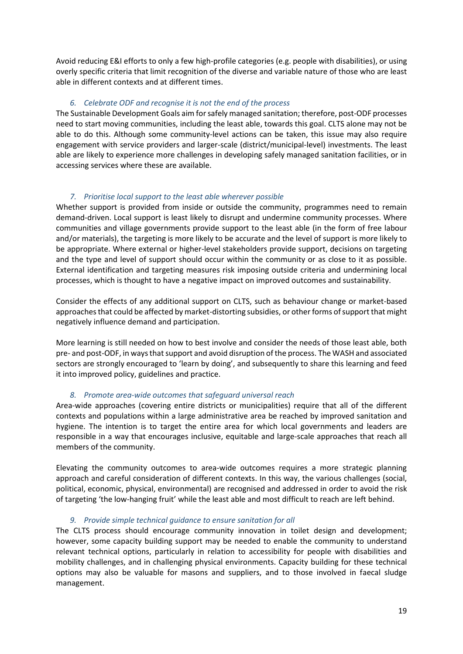Avoid reducing E&I efforts to only a few high-profile categories (e.g. people with disabilities), or using overly specific criteria that limit recognition of the diverse and variable nature of those who are least able in different contexts and at different times.

#### *6. Celebrate ODF and recognise it is not the end of the process*

The Sustainable Development Goals aim for safely managed sanitation; therefore, post-ODF processes need to start moving communities, including the least able, towards this goal. CLTS alone may not be able to do this. Although some community-level actions can be taken, this issue may also require engagement with service providers and larger-scale (district/municipal-level) investments. The least able are likely to experience more challenges in developing safely managed sanitation facilities, or in accessing services where these are available.

#### *7. Prioritise local support to the least able wherever possible*

Whether support is provided from inside or outside the community, programmes need to remain demand-driven. Local support is least likely to disrupt and undermine community processes. Where communities and village governments provide support to the least able (in the form of free labour and/or materials), the targeting is more likely to be accurate and the level of support is more likely to be appropriate. Where external or higher-level stakeholders provide support, decisions on targeting and the type and level of support should occur within the community or as close to it as possible. External identification and targeting measures risk imposing outside criteria and undermining local processes, which is thought to have a negative impact on improved outcomes and sustainability.

Consider the effects of any additional support on CLTS, such as behaviour change or market-based approachesthat could be affected by market-distorting subsidies, or other forms of support that might negatively influence demand and participation.

More learning is still needed on how to best involve and consider the needs of those least able, both pre- and post-ODF, in ways that support and avoid disruption of the process. The WASH and associated sectors are strongly encouraged to 'learn by doing', and subsequently to share this learning and feed it into improved policy, guidelines and practice.

#### *8. Promote area-wide outcomes that safeguard universal reach*

Area-wide approaches (covering entire districts or municipalities) require that all of the different contexts and populations within a large administrative area be reached by improved sanitation and hygiene. The intention is to target the entire area for which local governments and leaders are responsible in a way that encourages inclusive, equitable and large-scale approaches that reach all members of the community.

Elevating the community outcomes to area-wide outcomes requires a more strategic planning approach and careful consideration of different contexts. In this way, the various challenges (social, political, economic, physical, environmental) are recognised and addressed in order to avoid the risk of targeting 'the low-hanging fruit' while the least able and most difficult to reach are left behind.

#### *9. Provide simple technical guidance to ensure sanitation for all*

The CLTS process should encourage community innovation in toilet design and development; however, some capacity building support may be needed to enable the community to understand relevant technical options, particularly in relation to accessibility for people with disabilities and mobility challenges, and in challenging physical environments. Capacity building for these technical options may also be valuable for masons and suppliers, and to those involved in faecal sludge management.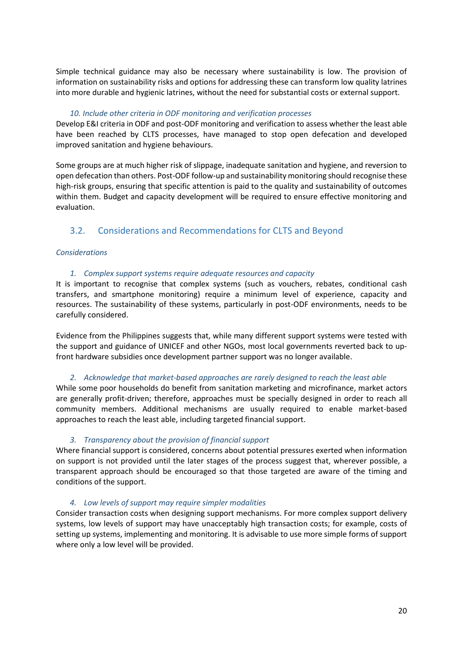Simple technical guidance may also be necessary where sustainability is low. The provision of information on sustainability risks and options for addressing these can transform low quality latrines into more durable and hygienic latrines, without the need for substantial costs or external support.

#### *10. Include other criteria in ODF monitoring and verification processes*

Develop E&I criteria in ODF and post-ODF monitoring and verification to assess whether the least able have been reached by CLTS processes, have managed to stop open defecation and developed improved sanitation and hygiene behaviours.

Some groups are at much higher risk of slippage, inadequate sanitation and hygiene, and reversion to open defecation than others. Post-ODF follow-up and sustainability monitoring should recognise these high-risk groups, ensuring that specific attention is paid to the quality and sustainability of outcomes within them. Budget and capacity development will be required to ensure effective monitoring and evaluation.

# 3.2. Considerations and Recommendations for CLTS and Beyond

#### *Considerations*

#### *1. Complex support systems require adequate resources and capacity*

It is important to recognise that complex systems (such as vouchers, rebates, conditional cash transfers, and smartphone monitoring) require a minimum level of experience, capacity and resources. The sustainability of these systems, particularly in post-ODF environments, needs to be carefully considered.

Evidence from the Philippines suggests that, while many different support systems were tested with the support and guidance of UNICEF and other NGOs, most local governments reverted back to upfront hardware subsidies once development partner support was no longer available.

#### *2. Acknowledge that market-based approaches are rarely designed to reach the least able*

While some poor households do benefit from sanitation marketing and microfinance, market actors are generally profit-driven; therefore, approaches must be specially designed in order to reach all community members. Additional mechanisms are usually required to enable market-based approaches to reach the least able, including targeted financial support.

#### *3. Transparency about the provision of financial support*

Where financial support is considered, concerns about potential pressures exerted when information on support is not provided until the later stages of the process suggest that, wherever possible, a transparent approach should be encouraged so that those targeted are aware of the timing and conditions of the support.

#### *4. Low levels of support may require simpler modalities*

Consider transaction costs when designing support mechanisms. For more complex support delivery systems, low levels of support may have unacceptably high transaction costs; for example, costs of setting up systems, implementing and monitoring. It is advisable to use more simple forms of support where only a low level will be provided.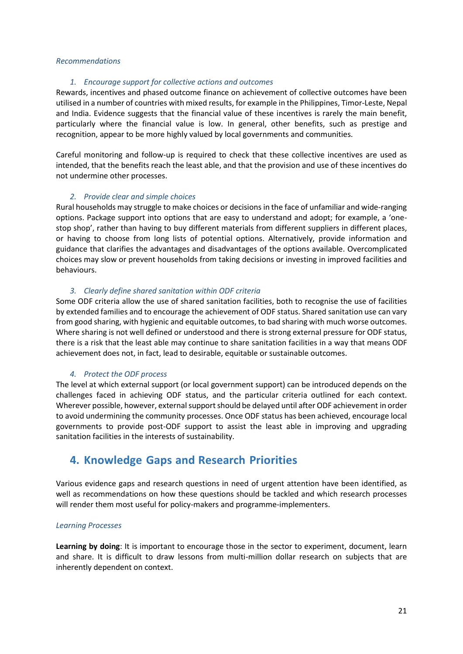#### *Recommendations*

#### *1. Encourage support for collective actions and outcomes*

Rewards, incentives and phased outcome finance on achievement of collective outcomes have been utilised in a number of countries with mixed results, for example in the Philippines, Timor-Leste, Nepal and India. Evidence suggests that the financial value of these incentives is rarely the main benefit, particularly where the financial value is low. In general, other benefits, such as prestige and recognition, appear to be more highly valued by local governments and communities.

Careful monitoring and follow-up is required to check that these collective incentives are used as intended, that the benefits reach the least able, and that the provision and use of these incentives do not undermine other processes.

#### *2. Provide clear and simple choices*

Rural households may struggle to make choices or decisions in the face of unfamiliar and wide-ranging options. Package support into options that are easy to understand and adopt; for example, a 'onestop shop', rather than having to buy different materials from different suppliers in different places, or having to choose from long lists of potential options. Alternatively, provide information and guidance that clarifies the advantages and disadvantages of the options available. Overcomplicated choices may slow or prevent households from taking decisions or investing in improved facilities and behaviours.

#### *3. Clearly define shared sanitation within ODF criteria*

Some ODF criteria allow the use of shared sanitation facilities, both to recognise the use of facilities by extended families and to encourage the achievement of ODF status. Shared sanitation use can vary from good sharing, with hygienic and equitable outcomes, to bad sharing with much worse outcomes. Where sharing is not well defined or understood and there is strong external pressure for ODF status, there is a risk that the least able may continue to share sanitation facilities in a way that means ODF achievement does not, in fact, lead to desirable, equitable or sustainable outcomes.

#### *4. Protect the ODF process*

The level at which external support (or local government support) can be introduced depends on the challenges faced in achieving ODF status, and the particular criteria outlined for each context. Wherever possible, however, external support should be delayed until after ODF achievement in order to avoid undermining the community processes. Once ODF status has been achieved, encourage local governments to provide post-ODF support to assist the least able in improving and upgrading sanitation facilities in the interests of sustainability.

# **4. Knowledge Gaps and Research Priorities**

Various evidence gaps and research questions in need of urgent attention have been identified, as well as recommendations on how these questions should be tackled and which research processes will render them most useful for policy-makers and programme-implementers.

#### *Learning Processes*

**Learning by doing**: It is important to encourage those in the sector to experiment, document, learn and share. It is difficult to draw lessons from multi-million dollar research on subjects that are inherently dependent on context.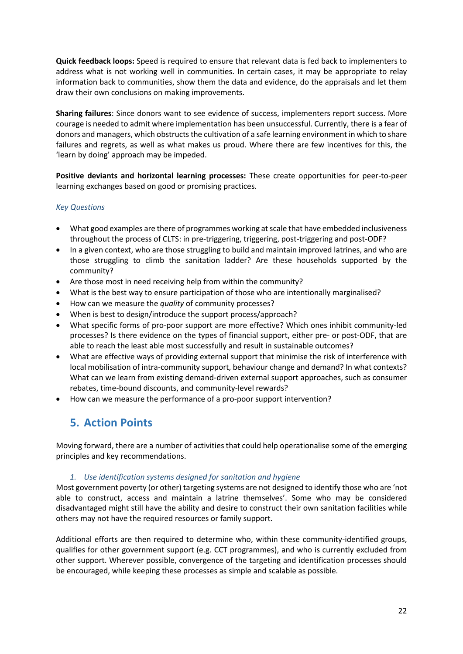**Quick feedback loops:** Speed is required to ensure that relevant data is fed back to implementers to address what is not working well in communities. In certain cases, it may be appropriate to relay information back to communities, show them the data and evidence, do the appraisals and let them draw their own conclusions on making improvements.

**Sharing failures**: Since donors want to see evidence of success, implementers report success. More courage is needed to admit where implementation has been unsuccessful. Currently, there is a fear of donors and managers, which obstructs the cultivation of a safe learning environment in which to share failures and regrets, as well as what makes us proud. Where there are few incentives for this, the 'learn by doing' approach may be impeded.

**Positive deviants and horizontal learning processes:** These create opportunities for peer-to-peer learning exchanges based on good or promising practices.

#### *Key Questions*

- What good examples are there of programmes working at scale that have embedded inclusiveness throughout the process of CLTS: in pre-triggering, triggering, post-triggering and post-ODF?
- In a given context, who are those struggling to build and maintain improved latrines, and who are those struggling to climb the sanitation ladder? Are these households supported by the community?
- Are those most in need receiving help from within the community?
- What is the best way to ensure participation of those who are intentionally marginalised?
- How can we measure the *quality* of community processes?
- When is best to design/introduce the support process/approach?
- What specific forms of pro-poor support are more effective? Which ones inhibit community-led processes? Is there evidence on the types of financial support, either pre- or post-ODF, that are able to reach the least able most successfully and result in sustainable outcomes?
- What are effective ways of providing external support that minimise the risk of interference with local mobilisation of intra-community support, behaviour change and demand? In what contexts? What can we learn from existing demand-driven external support approaches, such as consumer rebates, time-bound discounts, and community-level rewards?
- How can we measure the performance of a pro-poor support intervention?

# **5. Action Points**

Moving forward, there are a number of activities that could help operationalise some of the emerging principles and key recommendations.

#### *1. Use identification systems designed for sanitation and hygiene*

Most government poverty (or other) targeting systems are not designed to identify those who are 'not able to construct, access and maintain a latrine themselves'. Some who may be considered disadvantaged might still have the ability and desire to construct their own sanitation facilities while others may not have the required resources or family support.

Additional efforts are then required to determine who, within these community-identified groups, qualifies for other government support (e.g. CCT programmes), and who is currently excluded from other support. Wherever possible, convergence of the targeting and identification processes should be encouraged, while keeping these processes as simple and scalable as possible.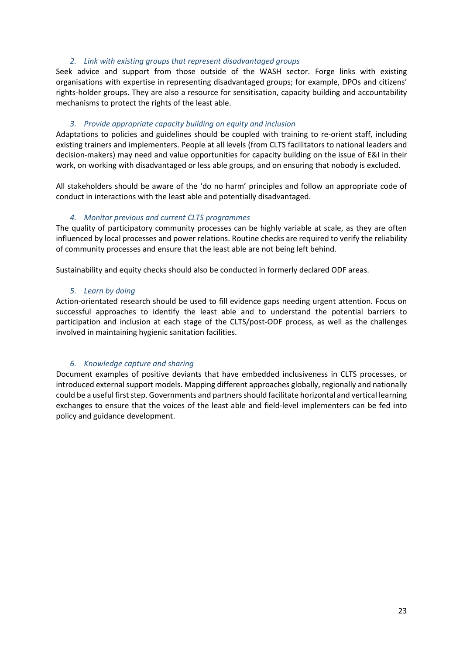#### *2. Link with existing groups that represent disadvantaged groups*

Seek advice and support from those outside of the WASH sector. Forge links with existing organisations with expertise in representing disadvantaged groups; for example, DPOs and citizens' rights-holder groups. They are also a resource for sensitisation, capacity building and accountability mechanisms to protect the rights of the least able.

#### *3. Provide appropriate capacity building on equity and inclusion*

Adaptations to policies and guidelines should be coupled with training to re-orient staff, including existing trainers and implementers. People at all levels (from CLTS facilitators to national leaders and decision-makers) may need and value opportunities for capacity building on the issue of E&I in their work, on working with disadvantaged or less able groups, and on ensuring that nobody is excluded.

All stakeholders should be aware of the 'do no harm' principles and follow an appropriate code of conduct in interactions with the least able and potentially disadvantaged.

#### *4. Monitor previous and current CLTS programmes*

The quality of participatory community processes can be highly variable at scale, as they are often influenced by local processes and power relations. Routine checks are required to verify the reliability of community processes and ensure that the least able are not being left behind.

Sustainability and equity checks should also be conducted in formerly declared ODF areas.

#### *5. Learn by doing*

Action-orientated research should be used to fill evidence gaps needing urgent attention. Focus on successful approaches to identify the least able and to understand the potential barriers to participation and inclusion at each stage of the CLTS/post-ODF process, as well as the challenges involved in maintaining hygienic sanitation facilities.

#### *6. Knowledge capture and sharing*

Document examples of positive deviants that have embedded inclusiveness in CLTS processes, or introduced external support models. Mapping different approaches globally, regionally and nationally could be a useful first step. Governments and partners should facilitate horizontal and vertical learning exchanges to ensure that the voices of the least able and field-level implementers can be fed into policy and guidance development.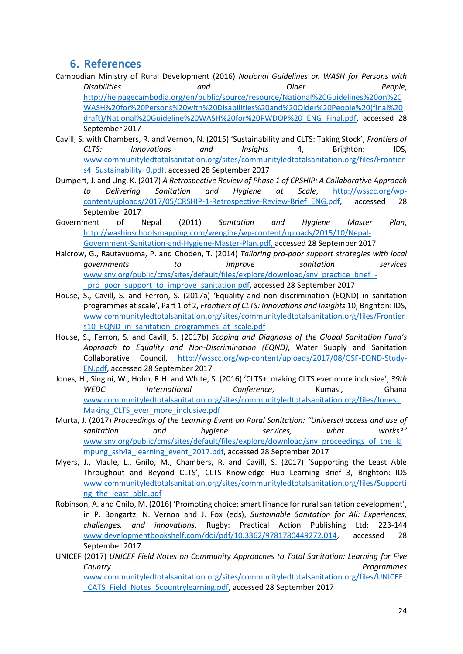# **6. References**

- Cambodian Ministry of Rural Development (2016) *National Guidelines on WASH for Persons with Disabilities and Older People*, [http://helpagecambodia.org/en/public/source/resource/National%20Guidelines%20on%20](http://helpagecambodia.org/en/public/source/resource/National%20Guidelines%20on%20WASH%20for%20Persons%20with%20Disabilities%20and%20Older%20People%20(final%20draft)/National%20Guideline%20WASH%20for%20PWDOP%20_ENG_Final.pdf) [WASH%20for%20Persons%20with%20Disabilities%20and%20Older%20People%20\(final%20](http://helpagecambodia.org/en/public/source/resource/National%20Guidelines%20on%20WASH%20for%20Persons%20with%20Disabilities%20and%20Older%20People%20(final%20draft)/National%20Guideline%20WASH%20for%20PWDOP%20_ENG_Final.pdf) [draft\)/National%20Guideline%20WASH%20for%20PWDOP%20\\_ENG\\_Final.pdf,](http://helpagecambodia.org/en/public/source/resource/National%20Guidelines%20on%20WASH%20for%20Persons%20with%20Disabilities%20and%20Older%20People%20(final%20draft)/National%20Guideline%20WASH%20for%20PWDOP%20_ENG_Final.pdf) accessed 28 September 2017
- Cavill, S. with Chambers, R. and Vernon, N. (2015) 'Sustainability and CLTS: Taking Stock', *Frontiers of CLTS: Innovations and Insights* 4, Brighton: IDS, [www.communityledtotalsanitation.org/sites/communityledtotalsanitation.org/files/Frontier](http://www.communityledtotalsanitation.org/sites/communityledtotalsanitation.org/files/Frontiers4_Sustainability_0.pdf) s4 Sustainability 0.pdf, accessed 28 September 2017
- Dumpert, J. and Ung, K. (2017) *A Retrospective Review of Phase 1 of CRSHIP: A Collaborative Approach to Delivering Sanitation and Hygiene at Scale*, [http://wsscc.org/wp](http://wsscc.org/wp-content/uploads/2017/05/CRSHIP-1-Retrospective-Review-Brief_ENG.pdf)[content/uploads/2017/05/CRSHIP-1-Retrospective-Review-Brief\\_ENG.pdf,](http://wsscc.org/wp-content/uploads/2017/05/CRSHIP-1-Retrospective-Review-Brief_ENG.pdf) accessed 28 September 2017
- Government of Nepal (2011) *Sanitation and Hygiene Master Plan*, [http://washinschoolsmapping.com/wengine/wp-content/uploads/2015/10/Nepal-](http://washinschoolsmapping.com/wengine/wp-content/uploads/2015/10/Nepal-Government-Sanitation-and-Hygiene-Master-Plan.pdf)[Government-Sanitation-and-Hygiene-Master-Plan.pdf,](http://washinschoolsmapping.com/wengine/wp-content/uploads/2015/10/Nepal-Government-Sanitation-and-Hygiene-Master-Plan.pdf) accessed 28 September 2017
- Halcrow, G., Rautavuoma, P. and Choden, T. (2014) *Tailoring pro-poor support strategies with local governments to improve sanitation services* [www.snv.org/public/cms/sites/default/files/explore/download/snv\\_practice\\_brief\\_-](http://www.snv.org/public/cms/sites/default/files/explore/download/snv_practice_brief_-_pro_poor_support_to_improve_sanitation.pdf) [\\_pro\\_poor\\_support\\_to\\_improve\\_sanitation.pdf,](http://www.snv.org/public/cms/sites/default/files/explore/download/snv_practice_brief_-_pro_poor_support_to_improve_sanitation.pdf) accessed 28 September 2017
- House, S., Cavill, S. and Ferron, S. (2017a) 'Equality and non-discrimination (EQND) in sanitation programmes at scale', Part 1 of 2, *Frontiers of CLTS: Innovations and Insights* 10, Brighton: IDS, [www.communityledtotalsanitation.org/sites/communityledtotalsanitation.org/files/Frontier](http://www.communityledtotalsanitation.org/sites/communityledtotalsanitation.org/files/Frontiers10_EQND_in_sanitation_programmes_at_scale.pdf) [s10\\_EQND\\_in\\_sanitation\\_programmes\\_at\\_scale.pdf](http://www.communityledtotalsanitation.org/sites/communityledtotalsanitation.org/files/Frontiers10_EQND_in_sanitation_programmes_at_scale.pdf)
- House, S., Ferron, S. and Cavill, S. (2017b) *Scoping and Diagnosis of the Global Sanitation Fund's Approach to Equality and Non-Discrimination (EQND)*, Water Supply and Sanitation Collaborative Council, [http://wsscc.org/wp-content/uploads/2017/08/GSF-EQND-Study-](http://wsscc.org/wp-content/uploads/2017/08/GSF-EQND-Study-EN.pdf)[EN.pdf,](http://wsscc.org/wp-content/uploads/2017/08/GSF-EQND-Study-EN.pdf) accessed 28 September 2017
- Jones, H., Singini, W., Holm, R.H. and White, S. (2016) 'CLTS+: making CLTS ever more inclusive', *39th WEDC International Conference*, Kumasi, Ghana [www.communityledtotalsanitation.org/sites/communityledtotalsanitation.org/files/Jones\\_](http://www.communityledtotalsanitation.org/sites/communityledtotalsanitation.org/files/Jones_Making_CLTS_ever_more_inclusive.pdf) Making CLTS ever more inclusive.pdf
- Murta, J. (2017) *Proceedings of the Learning Event on Rural Sanitation: "Universal access and use of sanitation and hygiene services, what works?"* [www.snv.org/public/cms/sites/default/files/explore/download/snv\\_proceedings\\_of\\_the\\_la](http://www.snv.org/public/cms/sites/default/files/explore/download/snv_proceedings_of_the_lampung_ssh4a_learning_event_2017.pdf) [mpung\\_ssh4a\\_learning\\_event\\_2017.pdf,](http://www.snv.org/public/cms/sites/default/files/explore/download/snv_proceedings_of_the_lampung_ssh4a_learning_event_2017.pdf) accessed 28 September 2017
- Myers, J., Maule, L., Gnilo, M., Chambers, R. and Cavill, S. (2017) 'Supporting the Least Able Throughout and Beyond CLTS', CLTS Knowledge Hub Learning Brief 3, Brighton: IDS [www.communityledtotalsanitation.org/sites/communityledtotalsanitation.org/files/Supporti](http://www.communityledtotalsanitation.org/sites/communityledtotalsanitation.org/files/Supporting_the_least_able.pdf) ng the least able.pdf
- Robinson, A. and Gnilo, M. (2016) 'Promoting choice: smart finance for rural sanitation development', in P. Bongartz, N. Vernon and J. Fox (eds), *Sustainable Sanitation for All: Experiences, challenges, and innovations*, Rugby: Practical Action Publishing Ltd: 223-144 [www.developmentbookshelf.com/doi/pdf/10.3362/9781780449272.014,](http://www.developmentbookshelf.com/doi/pdf/10.3362/9781780449272.014) accessed 28 September 2017
- UNICEF (2017) *UNICEF Field Notes on Community Approaches to Total Sanitation: Learning for Five Country Programmes*  [www.communityledtotalsanitation.org/sites/communityledtotalsanitation.org/files/UNICEF](http://www.communityledtotalsanitation.org/sites/communityledtotalsanitation.org/files/UNICEF_CATS_Field_Notes_5countrylearning.pdf)

[\\_CATS\\_Field\\_Notes\\_5countrylearning.pdf,](http://www.communityledtotalsanitation.org/sites/communityledtotalsanitation.org/files/UNICEF_CATS_Field_Notes_5countrylearning.pdf) accessed 28 September 2017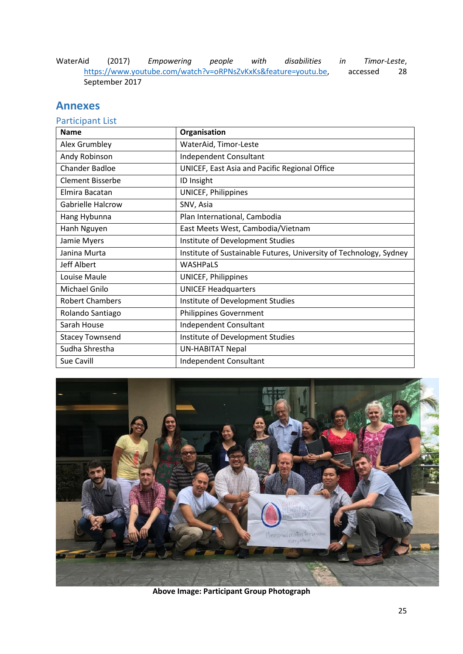WaterAid (2017) *Empowering people with disabilities in Timor-Leste*, [https://www.youtube.com/watch?v=oRPNsZvKxKs&feature=youtu.be,](https://www.youtube.com/watch?v=oRPNsZvKxKs&feature=youtu.be) accessed 28 September 2017

# **Annexes**

# Participant List

| <b>Name</b>              | Organisation                                                       |
|--------------------------|--------------------------------------------------------------------|
| Alex Grumbley            | WaterAid, Timor-Leste                                              |
| Andy Robinson            | Independent Consultant                                             |
| <b>Chander Badloe</b>    | UNICEF, East Asia and Pacific Regional Office                      |
| <b>Clement Bisserbe</b>  | ID Insight                                                         |
| Elmira Bacatan           | UNICEF, Philippines                                                |
| <b>Gabrielle Halcrow</b> | SNV, Asia                                                          |
| Hang Hybunna             | Plan International, Cambodia                                       |
| Hanh Nguyen              | East Meets West, Cambodia/Vietnam                                  |
| Jamie Myers              | Institute of Development Studies                                   |
| Janina Murta             | Institute of Sustainable Futures, University of Technology, Sydney |
| <b>Jeff Albert</b>       | <b>WASHPaLS</b>                                                    |
| Louise Maule             | UNICEF, Philippines                                                |
| Michael Gnilo            | <b>UNICEF Headquarters</b>                                         |
| <b>Robert Chambers</b>   | Institute of Development Studies                                   |
| Rolando Santiago         | <b>Philippines Government</b>                                      |
| Sarah House              | Independent Consultant                                             |
| <b>Stacey Townsend</b>   | Institute of Development Studies                                   |
| Sudha Shrestha           | <b>UN-HABITAT Nepal</b>                                            |
| Sue Cavill               | Independent Consultant                                             |



**Above Image: Participant Group Photograph**